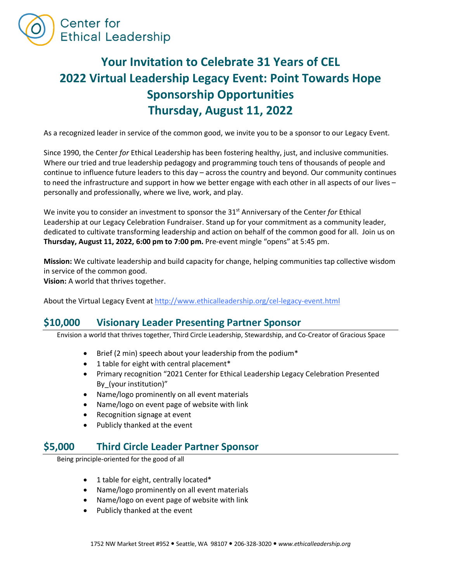

# **Your Invitation to Celebrate 31 Years of CEL 2022 Virtual Leadership Legacy Event: Point Towards Hope Sponsorship Opportunities Thursday, August 11, 2022**

As a recognized leader in service of the common good, we invite you to be a sponsor to our Legacy Event.

Since 1990, the Center *for* Ethical Leadership has been fostering healthy, just, and inclusive communities. Where our tried and true leadership pedagogy and programming touch tens of thousands of people and continue to influence future leaders to this day – across the country and beyond. Our community continues to need the infrastructure and support in how we better engage with each other in all aspects of our lives – personally and professionally, where we live, work, and play.

We invite you to consider an investment to sponsor the 31st Anniversary of the Center *for* Ethical Leadership at our Legacy Celebration Fundraiser. Stand up for your commitment as a community leader, dedicated to cultivate transforming leadership and action on behalf of the common good for all. Join us on **Thursday, August 11, 2022, 6:00 pm to 7:00 pm.** Pre-event mingle "opens" at 5:45 pm.

**Mission:** We cultivate leadership and build capacity for change, helping communities tap collective wisdom in service of the common good.

**Vision:** A world that thrives together.

About the Virtual Legacy Event at http://www.ethicalleadership.org/cel-legacy-event.html

#### **\$10,000 Visionary Leader Presenting Partner Sponsor**

Envision a world that thrives together, Third Circle Leadership, Stewardship, and Co-Creator of Gracious Space

- Brief (2 min) speech about your leadership from the podium\*
- 1 table for eight with central placement\*
- Primary recognition "2021 Center for Ethical Leadership Legacy Celebration Presented By\_(your institution)"
- Name/logo prominently on all event materials
- Name/logo on event page of website with link
- Recognition signage at event
- Publicly thanked at the event

#### **\$5,000 Third Circle Leader Partner Sponsor**

Being principle-oriented for the good of all

- 1 table for eight, centrally located\*
- Name/logo prominently on all event materials
- Name/logo on event page of website with link
- Publicly thanked at the event